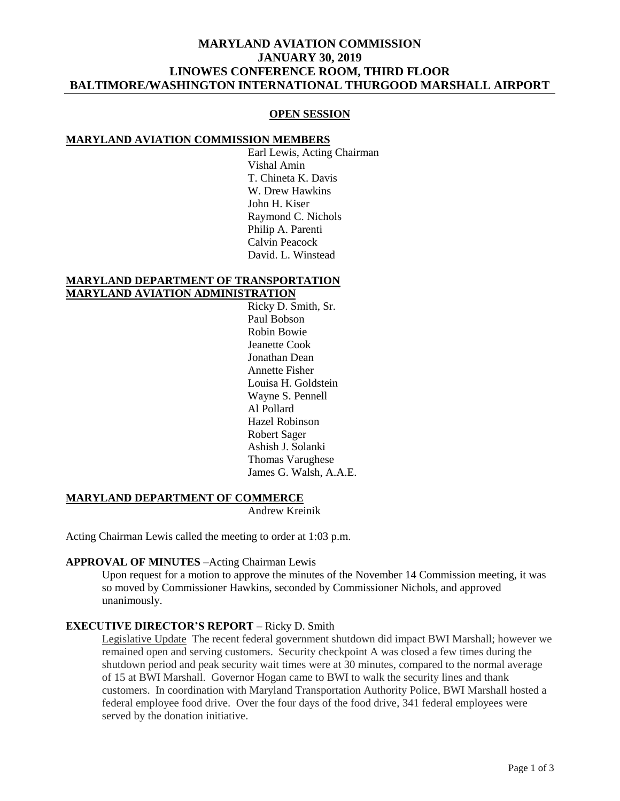# **MARYLAND AVIATION COMMISSION JANUARY 30, 2019 LINOWES CONFERENCE ROOM, THIRD FLOOR BALTIMORE/WASHINGTON INTERNATIONAL THURGOOD MARSHALL AIRPORT**

#### **OPEN SESSION**

#### **MARYLAND AVIATION COMMISSION MEMBERS**

Earl Lewis, Acting Chairman Vishal Amin T. Chineta K. Davis W. Drew Hawkins John H. Kiser Raymond C. Nichols Philip A. Parenti Calvin Peacock David. L. Winstead

#### **MARYLAND DEPARTMENT OF TRANSPORTATION MARYLAND AVIATION ADMINISTRATION**

Ricky D. Smith, Sr. Paul Bobson Robin Bowie Jeanette Cook Jonathan Dean Annette Fisher Louisa H. Goldstein Wayne S. Pennell Al Pollard Hazel Robinson Robert Sager Ashish J. Solanki Thomas Varughese James G. Walsh, A.A.E.

### **MARYLAND DEPARTMENT OF COMMERCE**

Andrew Kreinik

Acting Chairman Lewis called the meeting to order at 1:03 p.m.

### **APPROVAL OF MINUTES** –Acting Chairman Lewis

Upon request for a motion to approve the minutes of the November 14 Commission meeting, it was so moved by Commissioner Hawkins, seconded by Commissioner Nichols, and approved unanimously.

### **EXECUTIVE DIRECTOR'S REPORT** – Ricky D. Smith

Legislative Update The recent federal government shutdown did impact BWI Marshall; however we remained open and serving customers. Security checkpoint A was closed a few times during the shutdown period and peak security wait times were at 30 minutes, compared to the normal average of 15 at BWI Marshall. Governor Hogan came to BWI to walk the security lines and thank customers. In coordination with Maryland Transportation Authority Police, BWI Marshall hosted a federal employee food drive. Over the four days of the food drive, 341 federal employees were served by the donation initiative.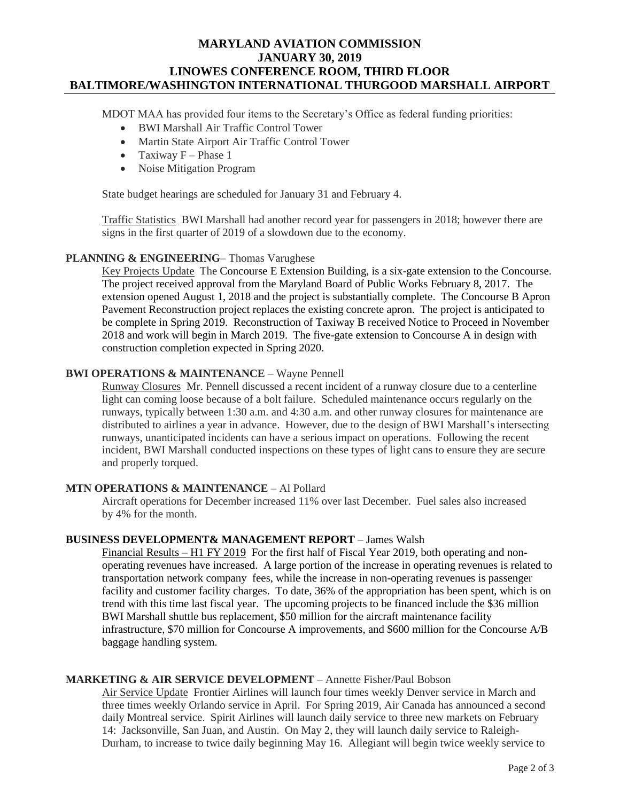# **MARYLAND AVIATION COMMISSION JANUARY 30, 2019 LINOWES CONFERENCE ROOM, THIRD FLOOR BALTIMORE/WASHINGTON INTERNATIONAL THURGOOD MARSHALL AIRPORT**

MDOT MAA has provided four items to the Secretary's Office as federal funding priorities:

- BWI Marshall Air Traffic Control Tower
- Martin State Airport Air Traffic Control Tower
- Taxiway  $F Phase 1$
- Noise Mitigation Program

State budget hearings are scheduled for January 31 and February 4.

Traffic Statistics BWI Marshall had another record year for passengers in 2018; however there are signs in the first quarter of 2019 of a slowdown due to the economy.

### **PLANNING & ENGINEERING**– Thomas Varughese

Key Projects Update The Concourse E Extension Building, is a six-gate extension to the Concourse. The project received approval from the Maryland Board of Public Works February 8, 2017. The extension opened August 1, 2018 and the project is substantially complete. The Concourse B Apron Pavement Reconstruction project replaces the existing concrete apron. The project is anticipated to be complete in Spring 2019. Reconstruction of Taxiway B received Notice to Proceed in November 2018 and work will begin in March 2019. The five-gate extension to Concourse A in design with construction completion expected in Spring 2020.

## **BWI OPERATIONS & MAINTENANCE** – Wayne Pennell

Runway Closures Mr. Pennell discussed a recent incident of a runway closure due to a centerline light can coming loose because of a bolt failure. Scheduled maintenance occurs regularly on the runways, typically between 1:30 a.m. and 4:30 a.m. and other runway closures for maintenance are distributed to airlines a year in advance. However, due to the design of BWI Marshall's intersecting runways, unanticipated incidents can have a serious impact on operations. Following the recent incident, BWI Marshall conducted inspections on these types of light cans to ensure they are secure and properly torqued.

### **MTN OPERATIONS & MAINTENANCE** – Al Pollard

Aircraft operations for December increased 11% over last December. Fuel sales also increased by 4% for the month.

### **BUSINESS DEVELOPMENT& MANAGEMENT REPORT** – James Walsh

Financial Results – H1 FY 2019 For the first half of Fiscal Year 2019, both operating and nonoperating revenues have increased. A large portion of the increase in operating revenues is related to transportation network company fees, while the increase in non-operating revenues is passenger facility and customer facility charges. To date, 36% of the appropriation has been spent, which is on trend with this time last fiscal year. The upcoming projects to be financed include the \$36 million BWI Marshall shuttle bus replacement, \$50 million for the aircraft maintenance facility infrastructure, \$70 million for Concourse A improvements, and \$600 million for the Concourse A/B baggage handling system.

# **MARKETING & AIR SERVICE DEVELOPMENT** – Annette Fisher/Paul Bobson

Air Service Update Frontier Airlines will launch four times weekly Denver service in March and three times weekly Orlando service in April. For Spring 2019, Air Canada has announced a second daily Montreal service. Spirit Airlines will launch daily service to three new markets on February 14: Jacksonville, San Juan, and Austin. On May 2, they will launch daily service to Raleigh-Durham, to increase to twice daily beginning May 16. Allegiant will begin twice weekly service to